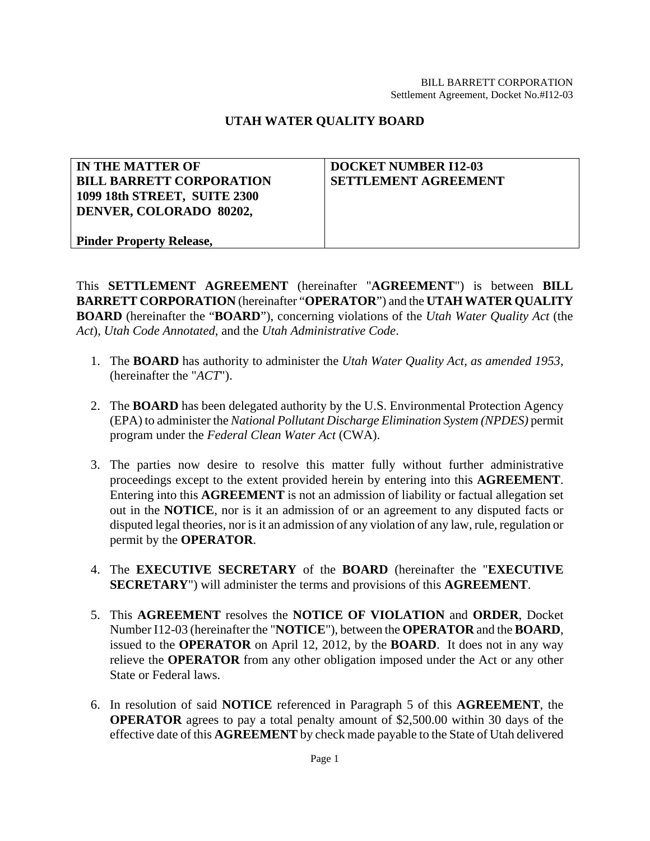# **UTAH WATER QUALITY BOARD**

| <b>IN THE MATTER OF</b>         | <b>DOCKET NUMBER I12-03</b> |
|---------------------------------|-----------------------------|
| <b>BILL BARRETT CORPORATION</b> | <b>SETTLEMENT AGREEMENT</b> |
| 1099 18th STREET, SUITE 2300    |                             |
| DENVER, COLORADO 80202.         |                             |
|                                 |                             |
| <b>Pinder Property Release,</b> |                             |

This **SETTLEMENT AGREEMENT** (hereinafter "**AGREEMENT**") is between **BILL BARRETT CORPORATION** (hereinafter "**OPERATOR**") and the **UTAH WATER QUALITY BOARD** (hereinafter the "**BOARD**"), concerning violations of the *Utah Water Quality Act* (the *Act*), *Utah Code Annotated*, and the *Utah Administrative Code*.

- 1. The **BOARD** has authority to administer the *Utah Water Quality Act, as amended 1953*, (hereinafter the "*ACT*").
- 2. The **BOARD** has been delegated authority by the U.S. Environmental Protection Agency (EPA) to administer the *National Pollutant Discharge Elimination System (NPDES)* permit program under the *Federal Clean Water Act* (CWA).
- 3. The parties now desire to resolve this matter fully without further administrative proceedings except to the extent provided herein by entering into this **AGREEMENT**. Entering into this **AGREEMENT** is not an admission of liability or factual allegation set out in the **NOTICE**, nor is it an admission of or an agreement to any disputed facts or disputed legal theories, nor is it an admission of any violation of any law, rule, regulation or permit by the **OPERATOR**.
- 4. The **EXECUTIVE SECRETARY** of the **BOARD** (hereinafter the "**EXECUTIVE SECRETARY**") will administer the terms and provisions of this **AGREEMENT**.
- 5. This **AGREEMENT** resolves the **NOTICE OF VIOLATION** and **ORDER**, Docket Number I12-03 (hereinafter the "**NOTICE**"), between the **OPERATOR** and the **BOARD**, issued to the **OPERATOR** on April 12, 2012, by the **BOARD**. It does not in any way relieve the **OPERATOR** from any other obligation imposed under the Act or any other State or Federal laws.
- 6. In resolution of said **NOTICE** referenced in Paragraph 5 of this **AGREEMENT**, the **OPERATOR** agrees to pay a total penalty amount of \$2,500.00 within 30 days of the effective date of this **AGREEMENT** by check made payable to the State of Utah delivered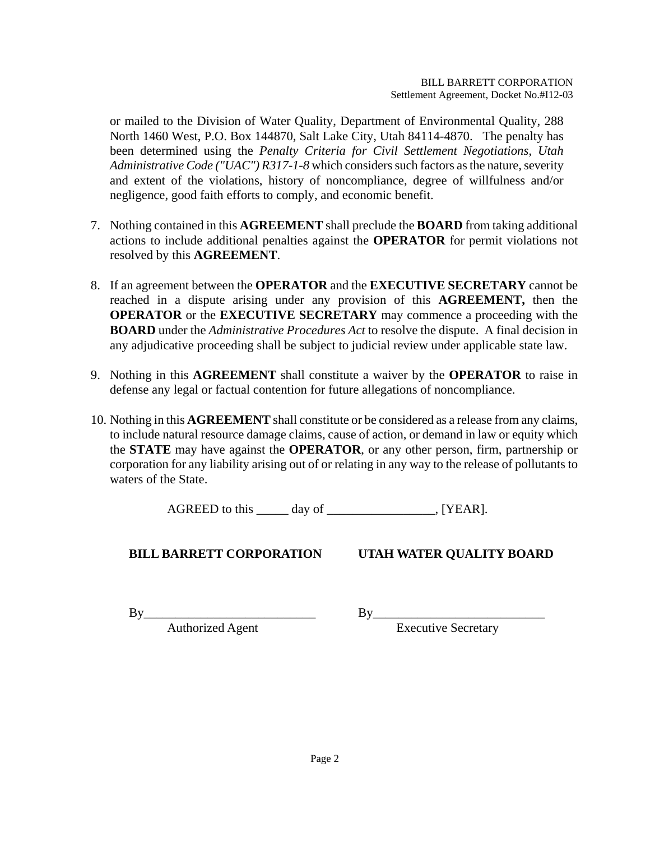or mailed to the Division of Water Quality, Department of Environmental Quality, 288 North 1460 West, P.O. Box 144870, Salt Lake City, Utah 84114-4870. The penalty has been determined using the *Penalty Criteria for Civil Settlement Negotiations, Utah Administrative Code ("UAC") R317-1-8* which considers such factors as the nature, severity and extent of the violations, history of noncompliance, degree of willfulness and/or negligence, good faith efforts to comply, and economic benefit.

- 7. Nothing contained in this **AGREEMENT** shall preclude the **BOARD** from taking additional actions to include additional penalties against the **OPERATOR** for permit violations not resolved by this **AGREEMENT**.
- 8. If an agreement between the **OPERATOR** and the **EXECUTIVE SECRETARY** cannot be reached in a dispute arising under any provision of this **AGREEMENT,** then the **OPERATOR** or the **EXECUTIVE SECRETARY** may commence a proceeding with the **BOARD** under the *Administrative Procedures Act* to resolve the dispute. A final decision in any adjudicative proceeding shall be subject to judicial review under applicable state law.
- 9. Nothing in this **AGREEMENT** shall constitute a waiver by the **OPERATOR** to raise in defense any legal or factual contention for future allegations of noncompliance.
- 10. Nothing in this **AGREEMENT** shall constitute or be considered as a release from any claims, to include natural resource damage claims, cause of action, or demand in law or equity which the **STATE** may have against the **OPERATOR**, or any other person, firm, partnership or corporation for any liability arising out of or relating in any way to the release of pollutants to waters of the State.

AGREED to this day of TEAR.

**BILL BARRETT CORPORATION UTAH WATER QUALITY BOARD** 

By\_\_\_\_\_\_\_\_\_\_\_\_\_\_\_\_\_\_\_\_\_\_\_\_\_\_\_ By\_\_\_\_\_\_\_\_\_\_\_\_\_\_\_\_\_\_\_\_\_\_\_\_\_\_\_

Authorized Agent Executive Secretary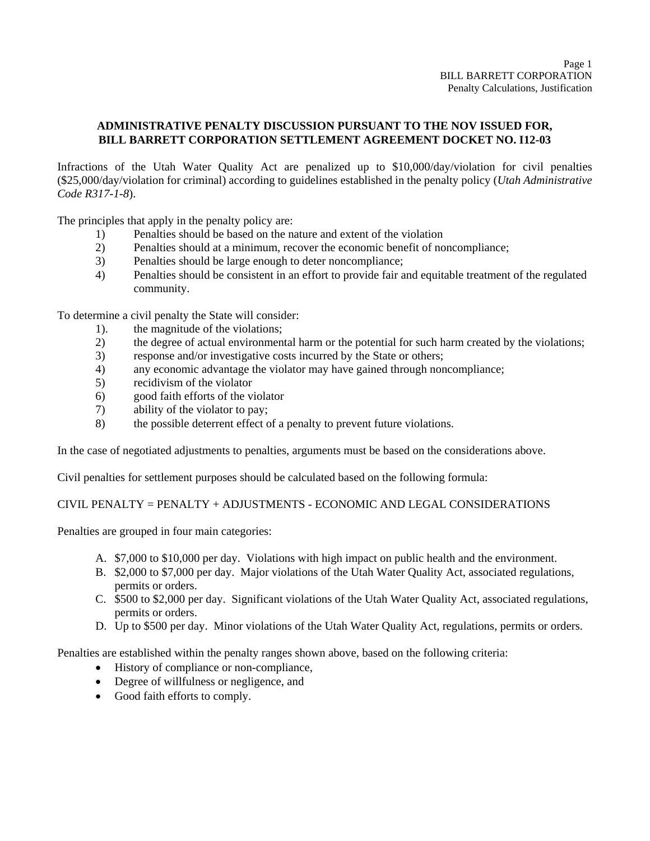## **ADMINISTRATIVE PENALTY DISCUSSION PURSUANT TO THE NOV ISSUED FOR, BILL BARRETT CORPORATION SETTLEMENT AGREEMENT DOCKET NO. I12-03**

Infractions of the Utah Water Quality Act are penalized up to \$10,000/day/violation for civil penalties (\$25,000/day/violation for criminal) according to guidelines established in the penalty policy (*Utah Administrative Code R317-1-8*).

The principles that apply in the penalty policy are:

- 1) Penalties should be based on the nature and extent of the violation
- 2) Penalties should at a minimum, recover the economic benefit of noncompliance;
- 3) Penalties should be large enough to deter noncompliance;
- 4) Penalties should be consistent in an effort to provide fair and equitable treatment of the regulated community.

To determine a civil penalty the State will consider:

- 1). the magnitude of the violations;
- 2) the degree of actual environmental harm or the potential for such harm created by the violations;
- 3) response and/or investigative costs incurred by the State or others;
- 4) any economic advantage the violator may have gained through noncompliance;
- 5) recidivism of the violator
- 6) good faith efforts of the violator
- 7) ability of the violator to pay;
- 8) the possible deterrent effect of a penalty to prevent future violations.

In the case of negotiated adjustments to penalties, arguments must be based on the considerations above.

Civil penalties for settlement purposes should be calculated based on the following formula:

CIVIL PENALTY = PENALTY + ADJUSTMENTS - ECONOMIC AND LEGAL CONSIDERATIONS

Penalties are grouped in four main categories:

- A. \$7,000 to \$10,000 per day. Violations with high impact on public health and the environment.
- B. \$2,000 to \$7,000 per day. Major violations of the Utah Water Quality Act, associated regulations, permits or orders.
- C. \$500 to \$2,000 per day. Significant violations of the Utah Water Quality Act, associated regulations, permits or orders.
- D. Up to \$500 per day. Minor violations of the Utah Water Quality Act, regulations, permits or orders.

Penalties are established within the penalty ranges shown above, based on the following criteria:

- History of compliance or non-compliance,
- Degree of willfulness or negligence, and
- Good faith efforts to comply.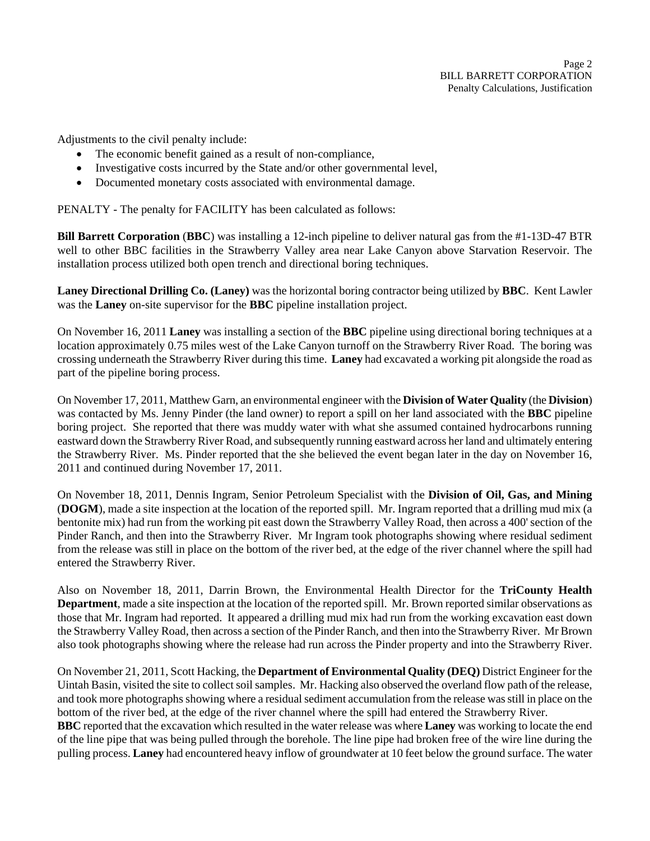Adjustments to the civil penalty include:

- The economic benefit gained as a result of non-compliance,
- Investigative costs incurred by the State and/or other governmental level,
- Documented monetary costs associated with environmental damage.

PENALTY - The penalty for FACILITY has been calculated as follows:

**Bill Barrett Corporation** (**BBC**) was installing a 12-inch pipeline to deliver natural gas from the #1-13D-47 BTR well to other BBC facilities in the Strawberry Valley area near Lake Canyon above Starvation Reservoir. The installation process utilized both open trench and directional boring techniques.

**Laney Directional Drilling Co. (Laney)** was the horizontal boring contractor being utilized by **BBC**. Kent Lawler was the **Laney** on-site supervisor for the **BBC** pipeline installation project.

On November 16, 2011 **Laney** was installing a section of the **BBC** pipeline using directional boring techniques at a location approximately 0.75 miles west of the Lake Canyon turnoff on the Strawberry River Road. The boring was crossing underneath the Strawberry River during this time. **Laney** had excavated a working pit alongside the road as part of the pipeline boring process.

On November 17, 2011, Matthew Garn, an environmental engineer with the **Division of Water Quality** (the **Division**) was contacted by Ms. Jenny Pinder (the land owner) to report a spill on her land associated with the **BBC** pipeline boring project. She reported that there was muddy water with what she assumed contained hydrocarbons running eastward down the Strawberry River Road, and subsequently running eastward across her land and ultimately entering the Strawberry River. Ms. Pinder reported that the she believed the event began later in the day on November 16, 2011 and continued during November 17, 2011.

On November 18, 2011, Dennis Ingram, Senior Petroleum Specialist with the **Division of Oil, Gas, and Mining**  (**DOGM**), made a site inspection at the location of the reported spill. Mr. Ingram reported that a drilling mud mix (a bentonite mix) had run from the working pit east down the Strawberry Valley Road, then across a 400' section of the Pinder Ranch, and then into the Strawberry River. Mr Ingram took photographs showing where residual sediment from the release was still in place on the bottom of the river bed, at the edge of the river channel where the spill had entered the Strawberry River.

Also on November 18, 2011, Darrin Brown, the Environmental Health Director for the **TriCounty Health Department**, made a site inspection at the location of the reported spill. Mr. Brown reported similar observations as those that Mr. Ingram had reported. It appeared a drilling mud mix had run from the working excavation east down the Strawberry Valley Road, then across a section of the Pinder Ranch, and then into the Strawberry River. Mr Brown also took photographs showing where the release had run across the Pinder property and into the Strawberry River.

On November 21, 2011, Scott Hacking, the **Department of Environmental Quality (DEQ)** District Engineer for the Uintah Basin, visited the site to collect soil samples. Mr. Hacking also observed the overland flow path of the release, and took more photographs showing where a residual sediment accumulation from the release was still in place on the bottom of the river bed, at the edge of the river channel where the spill had entered the Strawberry River.

**BBC** reported that the excavation which resulted in the water release was where **Laney** was working to locate the end of the line pipe that was being pulled through the borehole. The line pipe had broken free of the wire line during the pulling process. **Laney** had encountered heavy inflow of groundwater at 10 feet below the ground surface. The water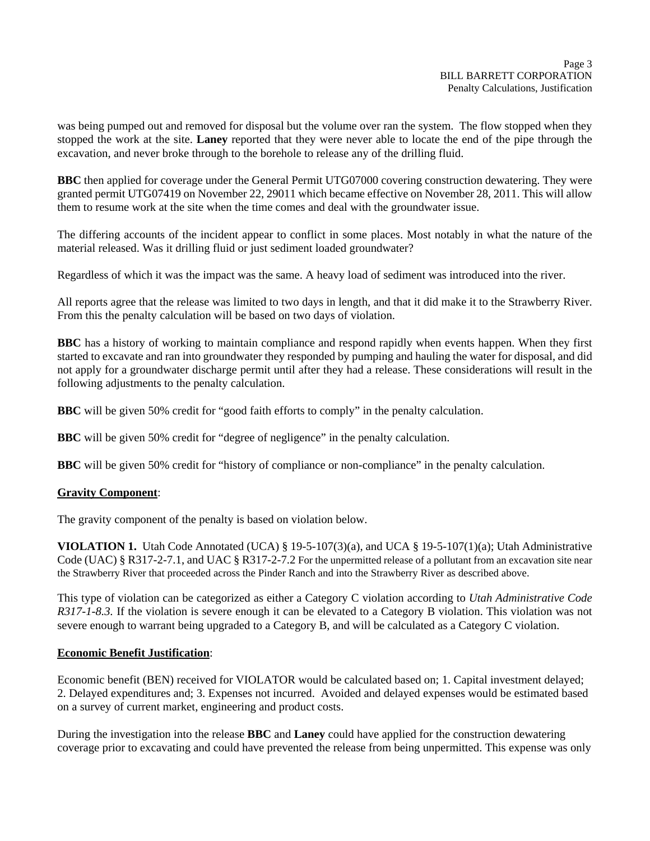was being pumped out and removed for disposal but the volume over ran the system. The flow stopped when they stopped the work at the site. **Laney** reported that they were never able to locate the end of the pipe through the excavation, and never broke through to the borehole to release any of the drilling fluid.

**BBC** then applied for coverage under the General Permit UTG07000 covering construction dewatering. They were granted permit UTG07419 on November 22, 29011 which became effective on November 28, 2011. This will allow them to resume work at the site when the time comes and deal with the groundwater issue.

The differing accounts of the incident appear to conflict in some places. Most notably in what the nature of the material released. Was it drilling fluid or just sediment loaded groundwater?

Regardless of which it was the impact was the same. A heavy load of sediment was introduced into the river.

All reports agree that the release was limited to two days in length, and that it did make it to the Strawberry River. From this the penalty calculation will be based on two days of violation.

**BBC** has a history of working to maintain compliance and respond rapidly when events happen. When they first started to excavate and ran into groundwater they responded by pumping and hauling the water for disposal, and did not apply for a groundwater discharge permit until after they had a release. These considerations will result in the following adjustments to the penalty calculation.

**BBC** will be given 50% credit for "good faith efforts to comply" in the penalty calculation.

**BBC** will be given 50% credit for "degree of negligence" in the penalty calculation.

**BBC** will be given 50% credit for "history of compliance or non-compliance" in the penalty calculation.

#### **Gravity Component**:

The gravity component of the penalty is based on violation below.

**VIOLATION 1.** Utah Code Annotated (UCA) § 19-5-107(3)(a), and UCA § 19-5-107(1)(a); Utah Administrative Code (UAC) § R317-2-7.1, and UAC § R317-2-7.2 For the unpermitted release of a pollutant from an excavation site near the Strawberry River that proceeded across the Pinder Ranch and into the Strawberry River as described above.

This type of violation can be categorized as either a Category C violation according to *Utah Administrative Code R317-1-8.3.* If the violation is severe enough it can be elevated to a Category B violation. This violation was not severe enough to warrant being upgraded to a Category B, and will be calculated as a Category C violation.

#### **Economic Benefit Justification**:

Economic benefit (BEN) received for VIOLATOR would be calculated based on; 1. Capital investment delayed; 2. Delayed expenditures and; 3. Expenses not incurred. Avoided and delayed expenses would be estimated based on a survey of current market, engineering and product costs.

During the investigation into the release **BBC** and **Laney** could have applied for the construction dewatering coverage prior to excavating and could have prevented the release from being unpermitted. This expense was only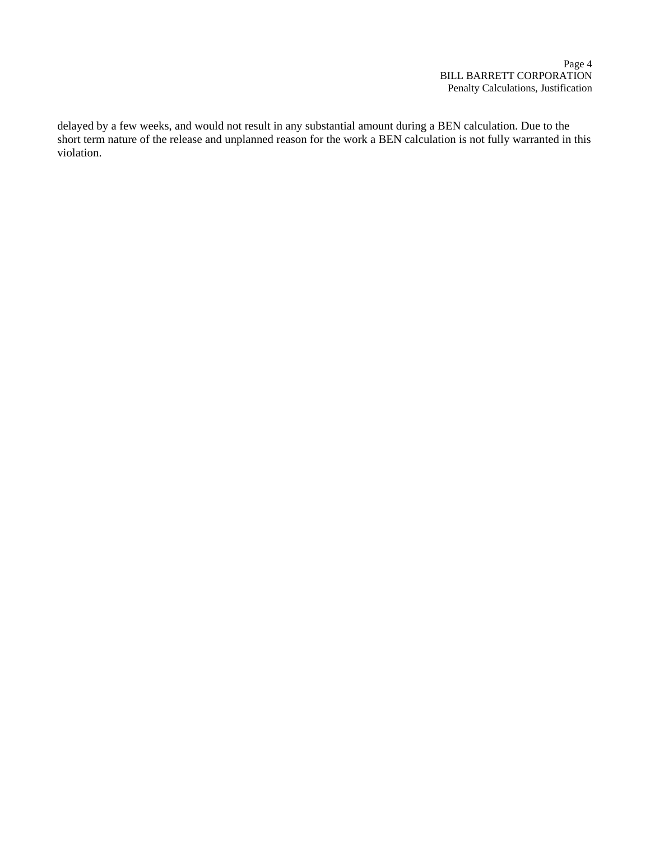delayed by a few weeks, and would not result in any substantial amount during a BEN calculation. Due to the short term nature of the release and unplanned reason for the work a BEN calculation is not fully warranted in this violation.